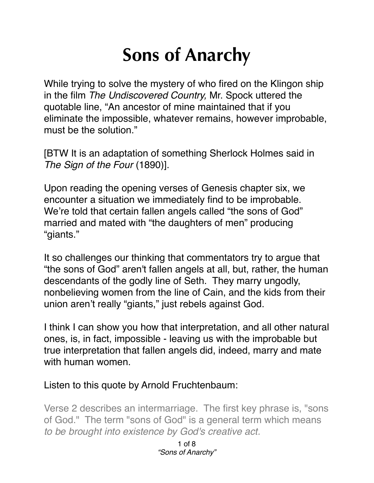## **Sons of Anarchy**

While trying to solve the mystery of who fired on the Klingon ship in the film *The Undiscovered Country,* Mr. Spock uttered the quotable line, "An ancestor of mine maintained that if you eliminate the impossible, whatever remains, however improbable, must be the solution."

[BTW It is an adaptation of something Sherlock Holmes said in *The Sign of the Four* (1890)].

Upon reading the opening verses of Genesis chapter six, we encounter a situation we immediately find to be improbable. We're told that certain fallen angels called "the sons of God" married and mated with "the daughters of men" producing "giants."

It so challenges our thinking that commentators try to argue that "the sons of God" aren't fallen angels at all, but, rather, the human descendants of the godly line of Seth. They marry ungodly, nonbelieving women from the line of Cain, and the kids from their union aren't really "giants," just rebels against God.

I think I can show you how that interpretation, and all other natural ones, is, in fact, impossible - leaving us with the improbable but true interpretation that fallen angels did, indeed, marry and mate with human women.

## Listen to this quote by Arnold Fruchtenbaum:

Verse 2 describes an intermarriage. The first key phrase is, "sons of God." The term "sons of God" is a general term which means *to be brought into existence by God's creative act.*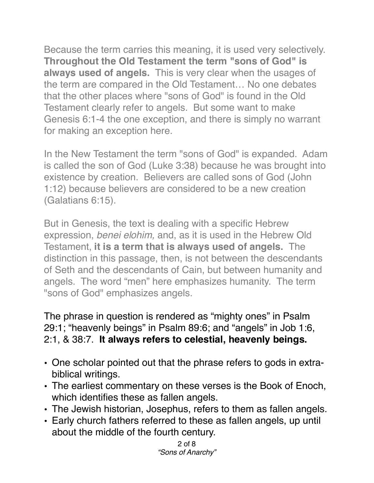Because the term carries this meaning, it is used very selectively. **Throughout the Old Testament the term "sons of God" is always used of angels.** This is very clear when the usages of the term are compared in the Old Testament… No one debates that the other places where "sons of God" is found in the Old Testament clearly refer to angels. But some want to make Genesis 6:1-4 the one exception, and there is simply no warrant for making an exception here.

In the New Testament the term "sons of God" is expanded. Adam is called the son of God (Luke 3:38) because he was brought into existence by creation. Believers are called sons of God (John 1:12) because believers are considered to be a new creation (Galatians 6:15).

But in Genesis, the text is dealing with a specific Hebrew expression, *benei elohim,* and, as it is used in the Hebrew Old Testament, **it is a term that is always used of angels.** The distinction in this passage, then, is not between the descendants of Seth and the descendants of Cain, but between humanity and angels. The word "men" here emphasizes humanity. The term "sons of God" emphasizes angels.

The phrase in question is rendered as "mighty ones" in Psalm 29:1; "heavenly beings" in Psalm 89:6; and "angels" in Job 1:6, 2:1, & 38:7. **It always refers to celestial, heavenly beings.**

- One scholar pointed out that the phrase refers to gods in extrabiblical writings.
- The earliest commentary on these verses is the Book of Enoch, which identifies these as fallen angels.
- The Jewish historian, Josephus, refers to them as fallen angels.
- Early church fathers referred to these as fallen angels, up until about the middle of the fourth century.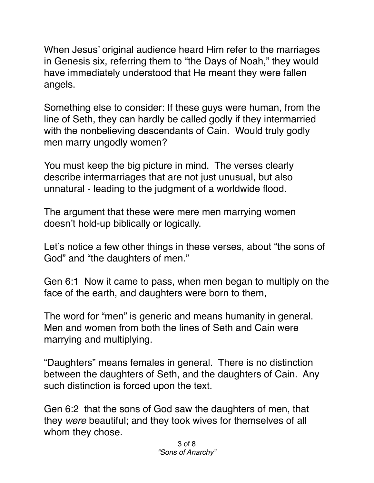When Jesus' original audience heard Him refer to the marriages in Genesis six, referring them to "the Days of Noah," they would have immediately understood that He meant they were fallen angels.

Something else to consider: If these guys were human, from the line of Seth, they can hardly be called godly if they intermarried with the nonbelieving descendants of Cain. Would truly godly men marry ungodly women?

You must keep the big picture in mind. The verses clearly describe intermarriages that are not just unusual, but also unnatural - leading to the judgment of a worldwide flood.

The argument that these were mere men marrying women doesn't hold-up biblically or logically.

Let's notice a few other things in these verses, about "the sons of God" and "the daughters of men."

Gen 6:1 Now it came to pass, when men began to multiply on the face of the earth, and daughters were born to them,

The word for "men" is generic and means humanity in general. Men and women from both the lines of Seth and Cain were marrying and multiplying.

"Daughters" means females in general. There is no distinction between the daughters of Seth, and the daughters of Cain. Any such distinction is forced upon the text.

Gen 6:2 that the sons of God saw the daughters of men, that they *were* beautiful; and they took wives for themselves of all whom they chose.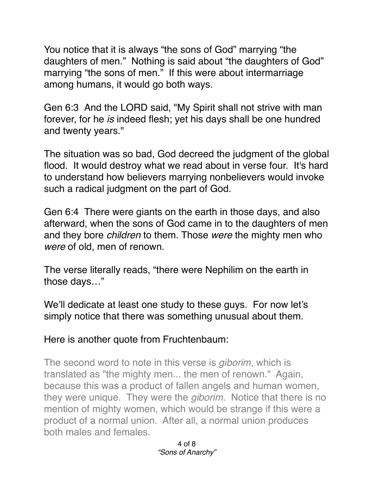You notice that it is always "the sons of God" marrying "the daughters of men." Nothing is said about "the daughters of God" marrying "the sons of men." If this were about intermarriage among humans, it would go both ways.

Gen 6:3 And the LORD said, "My Spirit shall not strive with man forever, for he *is* indeed flesh; yet his days shall be one hundred and twenty years."

The situation was so bad, God decreed the judgment of the global flood. It would destroy what we read about in verse four. It's hard to understand how believers marrying nonbelievers would invoke such a radical judgment on the part of God.

Gen 6:4 There were giants on the earth in those days, and also afterward, when the sons of God came in to the daughters of men and they bore *children* to them. Those *were* the mighty men who *were* of old, men of renown.

The verse literally reads, "there were Nephilim on the earth in those days…"

We'll dedicate at least one study to these guys. For now let's simply notice that there was something unusual about them.

Here is another quote from Fruchtenbaum:

The second word to note in this verse is *giborim*, which is translated as "the mighty men... the men of renown." Again, because this was a product of fallen angels and human women, they were unique. They were the *giborim*. Notice that there is no mention of mighty women, which would be strange if this were a product of a normal union. After all, a normal union produces both males and females.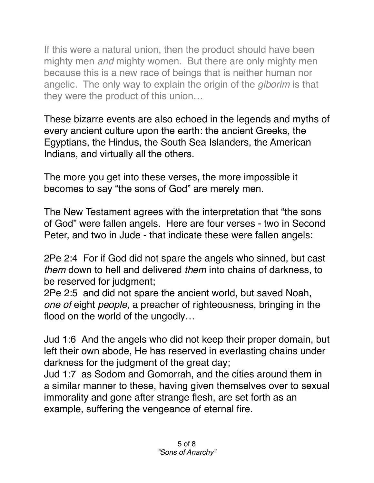If this were a natural union, then the product should have been mighty men *and* mighty women. But there are only mighty men because this is a new race of beings that is neither human nor angelic. The only way to explain the origin of the *giborim* is that they were the product of this union…

These bizarre events are also echoed in the legends and myths of every ancient culture upon the earth: the ancient Greeks, the Egyptians, the Hindus, the South Sea Islanders, the American Indians, and virtually all the others.

The more you get into these verses, the more impossible it becomes to say "the sons of God" are merely men.

The New Testament agrees with the interpretation that "the sons of God" were fallen angels. Here are four verses - two in Second Peter, and two in Jude - that indicate these were fallen angels:

2Pe 2:4 For if God did not spare the angels who sinned, but cast *them* down to hell and delivered *them* into chains of darkness, to be reserved for judgment;

2Pe 2:5 and did not spare the ancient world, but saved Noah, *one of* eight *people,* a preacher of righteousness, bringing in the flood on the world of the ungodly…

Jud 1:6 And the angels who did not keep their proper domain, but left their own abode, He has reserved in everlasting chains under darkness for the judgment of the great day;

Jud 1:7 as Sodom and Gomorrah, and the cities around them in a similar manner to these, having given themselves over to sexual immorality and gone after strange flesh, are set forth as an example, suffering the vengeance of eternal fire.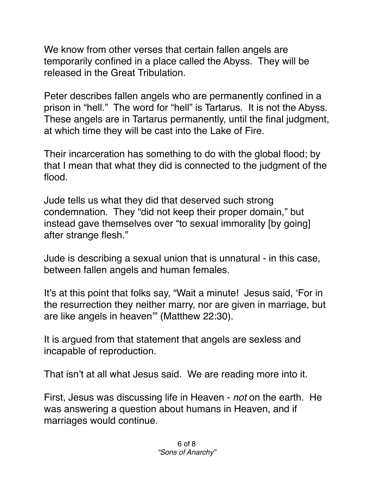We know from other verses that certain fallen angels are temporarily confined in a place called the Abyss. They will be released in the Great Tribulation.

Peter describes fallen angels who are permanently confined in a prison in "hell." The word for "hell" is Tartarus. It is not the Abyss. These angels are in Tartarus permanently, until the final judgment, at which time they will be cast into the Lake of Fire.

Their incarceration has something to do with the global flood; by that I mean that what they did is connected to the judgment of the flood.

Jude tells us what they did that deserved such strong condemnation. They "did not keep their proper domain," but instead gave themselves over "to sexual immorality [by going] after strange flesh."

Jude is describing a sexual union that is unnatural - in this case, between fallen angels and human females.

It's at this point that folks say, "Wait a minute! Jesus said, 'For in the resurrection they neither marry, nor are given in marriage, but are like angels in heaven'" (Matthew 22:30).

It is argued from that statement that angels are sexless and incapable of reproduction.

That isn't at all what Jesus said. We are reading more into it.

First, Jesus was discussing life in Heaven - *not* on the earth. He was answering a question about humans in Heaven, and if marriages would continue.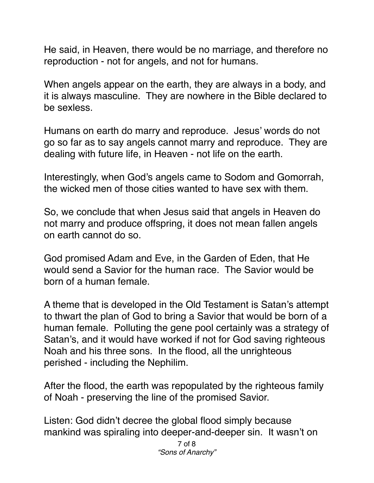He said, in Heaven, there would be no marriage, and therefore no reproduction - not for angels, and not for humans.

When angels appear on the earth, they are always in a body, and it is always masculine. They are nowhere in the Bible declared to be sexless.

Humans on earth do marry and reproduce. Jesus' words do not go so far as to say angels cannot marry and reproduce. They are dealing with future life, in Heaven - not life on the earth.

Interestingly, when God's angels came to Sodom and Gomorrah, the wicked men of those cities wanted to have sex with them.

So, we conclude that when Jesus said that angels in Heaven do not marry and produce offspring, it does not mean fallen angels on earth cannot do so.

God promised Adam and Eve, in the Garden of Eden, that He would send a Savior for the human race. The Savior would be born of a human female.

A theme that is developed in the Old Testament is Satan's attempt to thwart the plan of God to bring a Savior that would be born of a human female. Polluting the gene pool certainly was a strategy of Satan's, and it would have worked if not for God saving righteous Noah and his three sons. In the flood, all the unrighteous perished - including the Nephilim.

After the flood, the earth was repopulated by the righteous family of Noah - preserving the line of the promised Savior.

Listen: God didn't decree the global flood simply because mankind was spiraling into deeper-and-deeper sin. It wasn't on